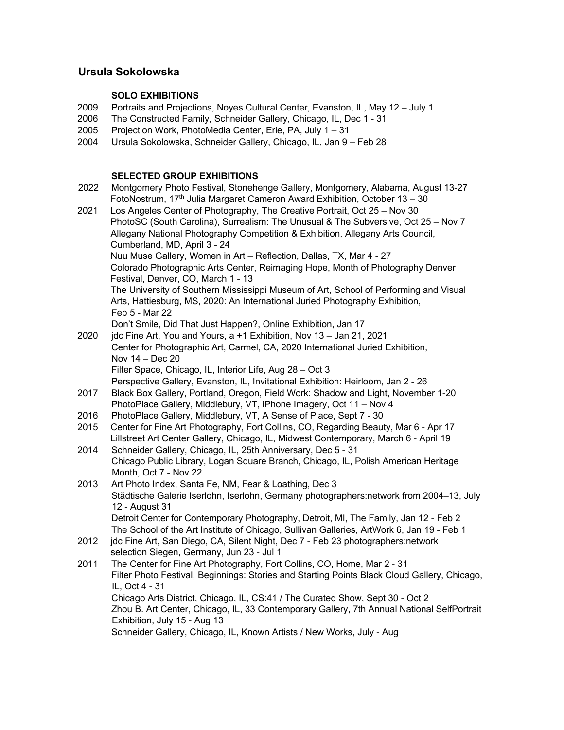# **Ursula Sokolowska**

## **SOLO EXHIBITIONS**

- 2009 Portraits and Projections, Noyes Cultural Center, Evanston, IL, May 12 July 1
- 2006 The Constructed Family, Schneider Gallery, Chicago, IL, Dec 1 31
- 2005 Projection Work, PhotoMedia Center, Erie, PA, July 1 31
- 2004 Ursula Sokolowska, Schneider Gallery, Chicago, IL, Jan 9 Feb 28

## **SELECTED GROUP EXHIBITIONS**

| 2022 | Montgomery Photo Festival, Stonehenge Gallery, Montgomery, Alabama, August 13-27             |
|------|----------------------------------------------------------------------------------------------|
|      | FotoNostrum, 17 <sup>th</sup> Julia Margaret Cameron Award Exhibition, October 13 - 30       |
| 2021 | Los Angeles Center of Photography, The Creative Portrait, Oct 25 - Nov 30                    |
|      | PhotoSC (South Carolina), Surrealism: The Unusual & The Subversive, Oct 25 - Nov 7           |
|      | Allegany National Photography Competition & Exhibition, Allegany Arts Council,               |
|      | Cumberland, MD, April 3 - 24                                                                 |
|      | Nuu Muse Gallery, Women in Art - Reflection, Dallas, TX, Mar 4 - 27                          |
|      | Colorado Photographic Arts Center, Reimaging Hope, Month of Photography Denver               |
|      | Festival, Denver, CO, March 1 - 13                                                           |
|      | The University of Southern Mississippi Museum of Art, School of Performing and Visual        |
|      | Arts, Hattiesburg, MS, 2020: An International Juried Photography Exhibition,                 |
|      | Feb 5 - Mar 22                                                                               |
|      | Don't Smile, Did That Just Happen?, Online Exhibition, Jan 17                                |
| 2020 | jdc Fine Art, You and Yours, a +1 Exhibition, Nov 13 - Jan 21, 2021                          |
|      | Center for Photographic Art, Carmel, CA, 2020 International Juried Exhibition,               |
|      | Nov 14 - Dec 20                                                                              |
|      | Filter Space, Chicago, IL, Interior Life, Aug 28 - Oct 3                                     |
|      | Perspective Gallery, Evanston, IL, Invitational Exhibition: Heirloom, Jan 2 - 26             |
| 2017 | Black Box Gallery, Portland, Oregon, Field Work: Shadow and Light, November 1-20             |
|      | PhotoPlace Gallery, Middlebury, VT, iPhone Imagery, Oct 11 - Nov 4                           |
| 2016 | PhotoPlace Gallery, Middlebury, VT, A Sense of Place, Sept 7 - 30                            |
| 2015 | Center for Fine Art Photography, Fort Collins, CO, Regarding Beauty, Mar 6 - Apr 17          |
|      | Lillstreet Art Center Gallery, Chicago, IL, Midwest Contemporary, March 6 - April 19         |
| 2014 | Schneider Gallery, Chicago, IL, 25th Anniversary, Dec 5 - 31                                 |
|      | Chicago Public Library, Logan Square Branch, Chicago, IL, Polish American Heritage           |
|      | Month, Oct 7 - Nov 22                                                                        |
| 2013 | Art Photo Index, Santa Fe, NM, Fear & Loathing, Dec 3                                        |
|      | Städtische Galerie Iserlohn, Iserlohn, Germany photographers:network from 2004-13, July      |
|      | 12 - August 31                                                                               |
|      | Detroit Center for Contemporary Photography, Detroit, MI, The Family, Jan 12 - Feb 2         |
|      | The School of the Art Institute of Chicago, Sullivan Galleries, ArtWork 6, Jan 19 - Feb 1    |
| 2012 | jdc Fine Art, San Diego, CA, Silent Night, Dec 7 - Feb 23 photographers:network              |
|      | selection Siegen, Germany, Jun 23 - Jul 1                                                    |
| 2011 | The Center for Fine Art Photography, Fort Collins, CO, Home, Mar 2 - 31                      |
|      | Filter Photo Festival, Beginnings: Stories and Starting Points Black Cloud Gallery, Chicago, |
|      | IL, Oct 4 - 31                                                                               |
|      | Chicago Arts District, Chicago, IL, CS:41 / The Curated Show, Sept 30 - Oct 2                |
|      | Zhou B. Art Center, Chicago, IL, 33 Contemporary Gallery, 7th Annual National SelfPortrait   |
|      | Exhibition, July 15 - Aug 13                                                                 |
|      | Schneider Gallery, Chicago, IL, Known Artists / New Works, July - Aug                        |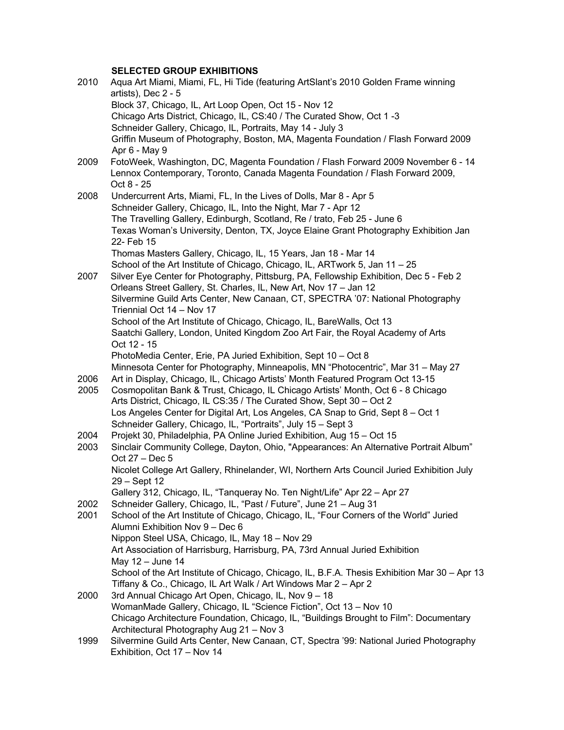## **SELECTED GROUP EXHIBITIONS**

| 2010 | Aqua Art Miami, Miami, FL, Hi Tide (featuring ArtSlant's 2010 Golden Frame winning                                                                          |
|------|-------------------------------------------------------------------------------------------------------------------------------------------------------------|
|      | artists), Dec 2 - 5                                                                                                                                         |
|      | Block 37, Chicago, IL, Art Loop Open, Oct 15 - Nov 12                                                                                                       |
|      | Chicago Arts District, Chicago, IL, CS:40 / The Curated Show, Oct 1 -3                                                                                      |
|      | Schneider Gallery, Chicago, IL, Portraits, May 14 - July 3                                                                                                  |
|      | Griffin Museum of Photography, Boston, MA, Magenta Foundation / Flash Forward 2009                                                                          |
|      | Apr 6 - May 9                                                                                                                                               |
| 2009 | FotoWeek, Washington, DC, Magenta Foundation / Flash Forward 2009 November 6 - 14                                                                           |
|      | Lennox Contemporary, Toronto, Canada Magenta Foundation / Flash Forward 2009,                                                                               |
|      | Oct 8 - 25                                                                                                                                                  |
| 2008 | Undercurrent Arts, Miami, FL, In the Lives of Dolls, Mar 8 - Apr 5                                                                                          |
|      | Schneider Gallery, Chicago, IL, Into the Night, Mar 7 - Apr 12                                                                                              |
|      | The Travelling Gallery, Edinburgh, Scotland, Re / trato, Feb 25 - June 6                                                                                    |
|      | Texas Woman's University, Denton, TX, Joyce Elaine Grant Photography Exhibition Jan<br>22- Feb 15                                                           |
|      | Thomas Masters Gallery, Chicago, IL, 15 Years, Jan 18 - Mar 14                                                                                              |
|      | School of the Art Institute of Chicago, Chicago, IL, ARTwork 5, Jan 11 - 25                                                                                 |
| 2007 | Silver Eye Center for Photography, Pittsburg, PA, Fellowship Exhibition, Dec 5 - Feb 2                                                                      |
|      | Orleans Street Gallery, St. Charles, IL, New Art, Nov 17 - Jan 12                                                                                           |
|      | Silvermine Guild Arts Center, New Canaan, CT, SPECTRA '07: National Photography                                                                             |
|      | Triennial Oct 14 - Nov 17                                                                                                                                   |
|      | School of the Art Institute of Chicago, Chicago, IL, BareWalls, Oct 13                                                                                      |
|      | Saatchi Gallery, London, United Kingdom Zoo Art Fair, the Royal Academy of Arts                                                                             |
|      | Oct 12 - 15                                                                                                                                                 |
|      | PhotoMedia Center, Erie, PA Juried Exhibition, Sept 10 - Oct 8                                                                                              |
|      | Minnesota Center for Photography, Minneapolis, MN "Photocentric", Mar 31 - May 27                                                                           |
| 2006 | Art in Display, Chicago, IL, Chicago Artists' Month Featured Program Oct 13-15                                                                              |
| 2005 | Cosmopolitan Bank & Trust, Chicago, IL Chicago Artists' Month, Oct 6 - 8 Chicago                                                                            |
|      | Arts District, Chicago, IL CS:35 / The Curated Show, Sept 30 - Oct 2                                                                                        |
|      | Los Angeles Center for Digital Art, Los Angeles, CA Snap to Grid, Sept 8 – Oct 1                                                                            |
|      | Schneider Gallery, Chicago, IL, "Portraits", July 15 - Sept 3                                                                                               |
| 2004 | Projekt 30, Philadelphia, PA Online Juried Exhibition, Aug 15 - Oct 15                                                                                      |
| 2003 | Sinclair Community College, Dayton, Ohio, "Appearances: An Alternative Portrait Album"                                                                      |
|      | Oct 27 - Dec 5                                                                                                                                              |
|      | Nicolet College Art Gallery, Rhinelander, WI, Northern Arts Council Juried Exhibition July                                                                  |
|      | 29 - Sept 12                                                                                                                                                |
|      | Gallery 312, Chicago, IL, "Tanqueray No. Ten Night/Life" Apr 22 - Apr 27                                                                                    |
| 2002 | Schneider Gallery, Chicago, IL, "Past / Future", June 21 - Aug 31                                                                                           |
| 2001 | School of the Art Institute of Chicago, Chicago, IL, "Four Corners of the World" Juried                                                                     |
|      | Alumni Exhibition Nov 9 - Dec 6                                                                                                                             |
|      | Nippon Steel USA, Chicago, IL, May 18 - Nov 29                                                                                                              |
|      | Art Association of Harrisburg, Harrisburg, PA, 73rd Annual Juried Exhibition                                                                                |
|      | May 12 - June 14                                                                                                                                            |
|      | School of the Art Institute of Chicago, Chicago, IL, B.F.A. Thesis Exhibition Mar 30 - Apr 13                                                               |
|      | Tiffany & Co., Chicago, IL Art Walk / Art Windows Mar 2 - Apr 2                                                                                             |
| 2000 | 3rd Annual Chicago Art Open, Chicago, IL, Nov 9 - 18                                                                                                        |
|      | WomanMade Gallery, Chicago, IL "Science Fiction", Oct 13 - Nov 10<br>Chicago Architecture Foundation, Chicago, IL, "Buildings Brought to Film": Documentary |
|      | Architectural Photography Aug 21 - Nov 3                                                                                                                    |
| 1999 | Silvermine Guild Arts Center, New Canaan, CT, Spectra '99: National Juried Photography                                                                      |
|      | Exhibition, Oct 17 - Nov 14                                                                                                                                 |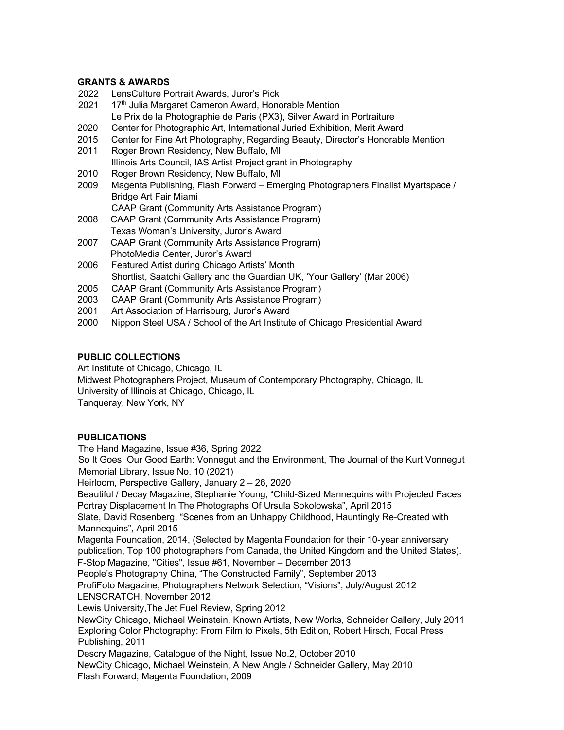#### **GRANTS & AWARDS**

- 2022 LensCulture Portrait Awards, Juror's Pick
- 2021 17<sup>th</sup> Julia Margaret Cameron Award, Honorable Mention Le Prix de la Photographie de Paris (PX3), Silver Award in Portraiture
- 2020 Center for Photographic Art, International Juried Exhibition, Merit Award
- 2015 Center for Fine Art Photography, Regarding Beauty, Director's Honorable Mention
- 2011 Roger Brown Residency, New Buffalo, MI Illinois Arts Council, IAS Artist Project grant in Photography
- 2010 Roger Brown Residency, New Buffalo, MI
- 2009 Magenta Publishing, Flash Forward Emerging Photographers Finalist Myartspace / Bridge Art Fair Miami

CAAP Grant (Community Arts Assistance Program)

- 2008 CAAP Grant (Community Arts Assistance Program) Texas Woman's University, Juror's Award
- 2007 CAAP Grant (Community Arts Assistance Program) PhotoMedia Center, Juror's Award
- 2006 Featured Artist during Chicago Artists' Month Shortlist, Saatchi Gallery and the Guardian UK, 'Your Gallery' (Mar 2006)
- 2005 CAAP Grant (Community Arts Assistance Program)
- 2003 CAAP Grant (Community Arts Assistance Program)
- 2001 Art Association of Harrisburg, Juror's Award
- 2000 Nippon Steel USA / School of the Art Institute of Chicago Presidential Award

## **PUBLIC COLLECTIONS**

Art Institute of Chicago, Chicago, IL

Midwest Photographers Project, Museum of Contemporary Photography, Chicago, IL

University of Illinois at Chicago, Chicago, IL

Tanqueray, New York, NY

## **PUBLICATIONS**

The Hand Magazine, Issue #36, Spring 2022

So It Goes, Our Good Earth: Vonnegut and the Environment, The Journal of the Kurt Vonnegut Memorial Library, Issue No. 10 (2021)

Heirloom, Perspective Gallery, January 2 – 26, 2020

Beautiful / Decay Magazine, Stephanie Young, "Child-Sized Mannequins with Projected Faces Portray Displacement In The Photographs Of Ursula Sokolowska", April 2015

Slate, David Rosenberg, "Scenes from an Unhappy Childhood, Hauntingly Re-Created with Mannequins", April 2015

Magenta Foundation, 2014, (Selected by Magenta Foundation for their 10-year anniversary publication, Top 100 photographers from Canada, the United Kingdom and the United States). F-Stop Magazine, "Cities", Issue #61, November – December 2013

People's Photography China, "The Constructed Family", September 2013

ProfiFoto Magazine, Photographers Network Selection, "Visions", July/August 2012 LENSCRATCH, November 2012

Lewis University,The Jet Fuel Review, Spring 2012

NewCity Chicago, Michael Weinstein, Known Artists, New Works, Schneider Gallery, July 2011 Exploring Color Photography: From Film to Pixels, 5th Edition, Robert Hirsch, Focal Press Publishing, 2011

Descry Magazine, Catalogue of the Night, Issue No.2, October 2010

NewCity Chicago, Michael Weinstein, A New Angle / Schneider Gallery, May 2010 Flash Forward, Magenta Foundation, 2009